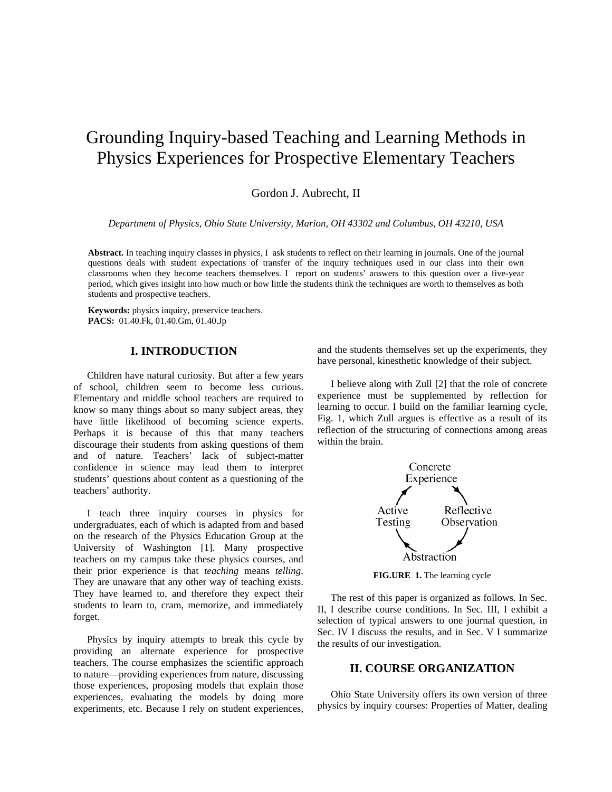# Grounding Inquiry-based Teaching and Learning Methods in Physics Experiences for Prospective Elementary Teachers

Gordon J. Aubrecht, II

*Department of Physics, Ohio State University, Marion, OH 43302 and Columbus, OH 43210, USA*

**Abstract.** In teaching inquiry classes in physics, I ask students to reflect on their learning in journals. One of the journal questions deals with student expectations of transfer of the inquiry techniques used in our class into their own classrooms when they become teachers themselves. I report on students' answers to this question over a five-year period, which gives insight into how much or how little the students think the techniques are worth to themselves as both students and prospective teachers.

**Keywords:** physics inquiry, preservice teachers. **PACS:** 01.40.Fk, 01.40.Gm, 01.40.Jp

# **I. INTRODUCTION**

Children have natural curiosity. But after a few years of school, children seem to become less curious. Elementary and middle school teachers are required to know so many things about so many subject areas, they have little likelihood of becoming science experts. Perhaps it is because of this that many teachers discourage their students from asking questions of them and of nature. Teachers' lack of subject-matter confidence in science may lead them to interpret students' questions about content as a questioning of the teachers' authority.

I teach three inquiry courses in physics for undergraduates, each of which is adapted from and based on the research of the Physics Education Group at the University of Washington [1]. Many prospective teachers on my campus take these physics courses, and their prior experience is that *teaching* means *telling*. They are unaware that any other way of teaching exists. They have learned to, and therefore they expect their students to learn to, cram, memorize, and immediately forget.

Physics by inquiry attempts to break this cycle by providing an alternate experience for prospective teachers. The course emphasizes the scientific approach to nature—providing experiences from nature, discussing those experiences, proposing models that explain those experiences, evaluating the models by doing more experiments, etc. Because I rely on student experiences,

and the students themselves set up the experiments, they have personal, kinesthetic knowledge of their subject.

I believe along with Zull [2] that the role of concrete experience must be supplemented by reflection for learning to occur. I build on the familiar learning cycle, Fig. 1, which Zull argues is effective as a result of its reflection of the structuring of connections among areas within the brain.



**FIG.URE 1.** The learning cycle

The rest of this paper is organized as follows. In Sec. II, I describe course conditions. In Sec. III, I exhibit a selection of typical answers to one journal question, in Sec. IV I discuss the results, and in Sec. V I summarize the results of our investigation.

### **II. COURSE ORGANIZATION**

Ohio State University offers its own version of three physics by inquiry courses: Properties of Matter, dealing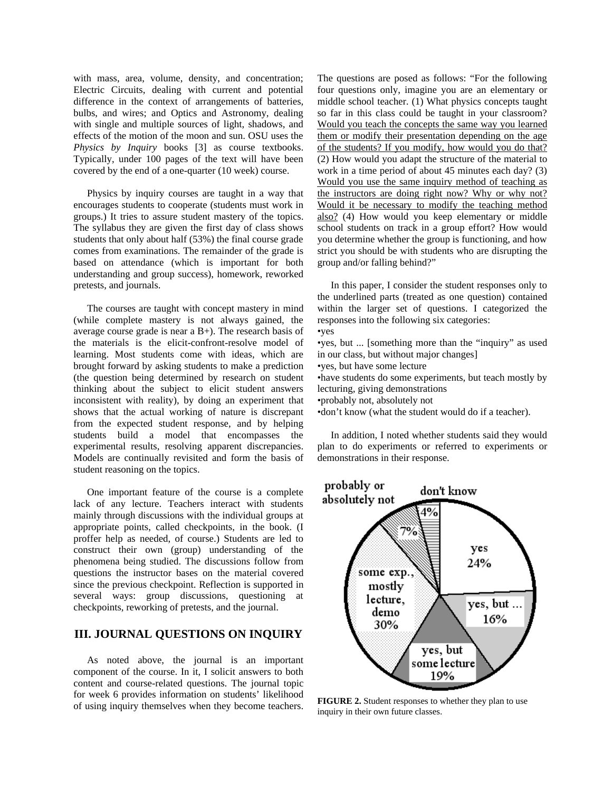with mass, area, volume, density, and concentration; Electric Circuits, dealing with current and potential difference in the context of arrangements of batteries, bulbs, and wires; and Optics and Astronomy, dealing with single and multiple sources of light, shadows, and effects of the motion of the moon and sun. OSU uses the *Physics by Inquiry* books [3] as course textbooks. Typically, under 100 pages of the text will have been covered by the end of a one-quarter (10 week) course.

Physics by inquiry courses are taught in a way that encourages students to cooperate (students must work in groups.) It tries to assure student mastery of the topics. The syllabus they are given the first day of class shows students that only about half (53%) the final course grade comes from examinations. The remainder of the grade is based on attendance (which is important for both understanding and group success), homework, reworked pretests, and journals.

The courses are taught with concept mastery in mind (while complete mastery is not always gained, the average course grade is near a  $B+$ ). The research basis of the materials is the elicit-confront-resolve model of learning. Most students come with ideas, which are brought forward by asking students to make a prediction (the question being determined by research on student thinking about the subject to elicit student answers inconsistent with reality), by doing an experiment that shows that the actual working of nature is discrepant from the expected student response, and by helping students build a model that encompasses the experimental results, resolving apparent discrepancies. Models are continually revisited and form the basis of student reasoning on the topics.

One important feature of the course is a complete lack of any lecture. Teachers interact with students mainly through discussions with the individual groups at appropriate points, called checkpoints, in the book. (I proffer help as needed, of course.) Students are led to construct their own (group) understanding of the phenomena being studied. The discussions follow from questions the instructor bases on the material covered since the previous checkpoint. Reflection is supported in several ways: group discussions, questioning at checkpoints, reworking of pretests, and the journal.

# **III. JOURNAL QUESTIONS ON INQUIRY**

As noted above, the journal is an important component of the course. In it, I solicit answers to both content and course-related questions. The journal topic for week 6 provides information on students' likelihood of using inquiry themselves when they become teachers.

The questions are posed as follows: "For the following four questions only, imagine you are an elementary or middle school teacher. (1) What physics concepts taught so far in this class could be taught in your classroom? Would you teach the concepts the same way you learned them or modify their presentation depending on the age of the students? If you modify, how would you do that? (2) How would you adapt the structure of the material to work in a time period of about 45 minutes each day? (3) Would you use the same inquiry method of teaching as the instructors are doing right now? Why or why not? Would it be necessary to modify the teaching method also? (4) How would you keep elementary or middle school students on track in a group effort? How would you determine whether the group is functioning, and how strict you should be with students who are disrupting the group and/or falling behind?"

In this paper, I consider the student responses only to the underlined parts (treated as one question) contained within the larger set of questions. I categorized the responses into the following six categories:

•yes

•yes, but ... [something more than the "inquiry" as used in our class, but without major changes]

•yes, but have some lecture

•have students do some experiments, but teach mostly by lecturing, giving demonstrations

•probably not, absolutely not

•don't know (what the student would do if a teacher).

In addition, I noted whether students said they would plan to do experiments or referred to experiments or demonstrations in their response.



**FIGURE 2.** Student responses to whether they plan to use inquiry in their own future classes.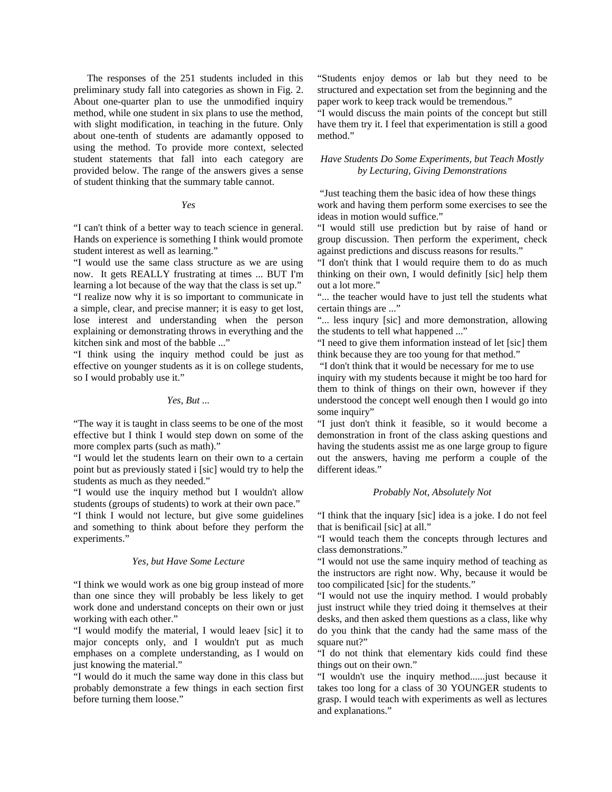The responses of the 251 students included in this preliminary study fall into categories as shown in Fig. 2. About one-quarter plan to use the unmodified inquiry method, while one student in six plans to use the method, with slight modification, in teaching in the future. Only about one-tenth of students are adamantly opposed to using the method. To provide more context, selected student statements that fall into each category are provided below. The range of the answers gives a sense of student thinking that the summary table cannot.

#### *Yes*

"I can't think of a better way to teach science in general. Hands on experience is something I think would promote student interest as well as learning."

"I would use the same class structure as we are using now. It gets REALLY frustrating at times ... BUT I'm learning a lot because of the way that the class is set up." "I realize now why it is so important to communicate in a simple, clear, and precise manner; it is easy to get lost, lose interest and understanding when the person explaining or demonstrating throws in everything and the kitchen sink and most of the babble ..."

"I think using the inquiry method could be just as effective on younger students as it is on college students, so I would probably use it."

#### *Yes, But ...*

"The way it is taught in class seems to be one of the most effective but I think I would step down on some of the more complex parts (such as math)."

"I would let the students learn on their own to a certain point but as previously stated i [sic] would try to help the students as much as they needed."

"I would use the inquiry method but I wouldn't allow students (groups of students) to work at their own pace."

"I think I would not lecture, but give some guidelines and something to think about before they perform the experiments."

#### *Yes, but Have Some Lecture*

"I think we would work as one big group instead of more than one since they will probably be less likely to get work done and understand concepts on their own or just working with each other."

"I would modify the material, I would leaev [sic] it to major concepts only, and I wouldn't put as much emphases on a complete understanding, as I would on just knowing the material."

"I would do it much the same way done in this class but probably demonstrate a few things in each section first before turning them loose."

"Students enjoy demos or lab but they need to be structured and expectation set from the beginning and the paper work to keep track would be tremendous."

"I would discuss the main points of the concept but still have them try it. I feel that experimentation is still a good method."

# *Have Students Do Some Experiments, but Teach Mostly by Lecturing, Giving Demonstrations*

 "Just teaching them the basic idea of how these things work and having them perform some exercises to see the ideas in motion would suffice."

"I would still use prediction but by raise of hand or group discussion. Then perform the experiment, check against predictions and discuss reasons for results."

"I don't think that I would require them to do as much thinking on their own, I would definitly [sic] help them out a lot more."

"... the teacher would have to just tell the students what certain things are ..."

"... less inqury [sic] and more demonstration, allowing the students to tell what happened ..."

"I need to give them information instead of let [sic] them think because they are too young for that method."

"I don't think that it would be necessary for me to use

inquiry with my students because it might be too hard for them to think of things on their own, however if they understood the concept well enough then I would go into some inquiry"

"I just don't think it feasible, so it would become a demonstration in front of the class asking questions and having the students assist me as one large group to figure out the answers, having me perform a couple of the different ideas."

#### *Probably Not, Absolutely Not*

"I think that the inquary [sic] idea is a joke. I do not feel that is benificail [sic] at all."

"I would teach them the concepts through lectures and class demonstrations."

"I would not use the same inquiry method of teaching as the instructors are right now. Why, because it would be too compilicated [sic] for the students."

"I would not use the inquiry method. I would probably just instruct while they tried doing it themselves at their desks, and then asked them questions as a class, like why do you think that the candy had the same mass of the square nut?"

"I do not think that elementary kids could find these things out on their own."

"I wouldn't use the inquiry method......just because it takes too long for a class of 30 YOUNGER students to grasp. I would teach with experiments as well as lectures and explanations."